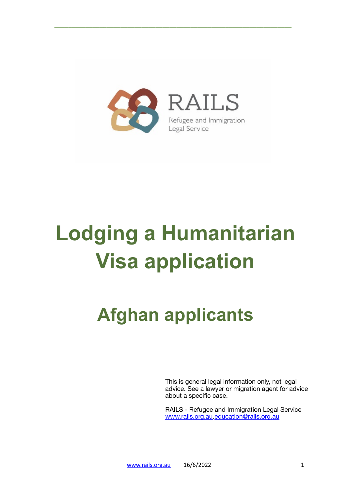

# **Lodging a Humanitarian Visa application**

# **Afghan applicants**

This is general legal information only, not legal advice. See a lawyer or migration agent for advice about a specific case.

RAILS - Refugee and Immigration Legal Service [www.rails.org.au.](http://www.rails.org.au)[education@rails.org.au](mailto:education@rails.org.au)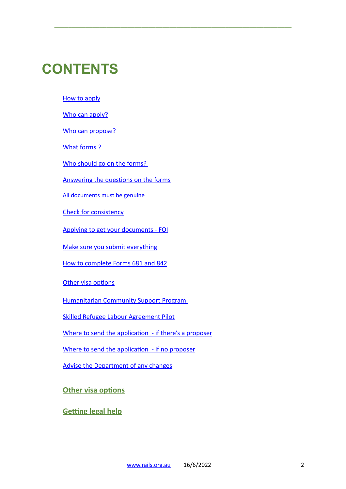# **CONTENTS**

[How to apply](#page-2-0)

[Who can apply?](#page-2-1)

[Who can propose?](#page-2-2)

[What forms ?](#page-3-0)

[Who should go on the forms?](#page-3-1) 

[Answering the questions on the forms](#page-3-2)

\_\_\_\_\_\_\_\_\_\_\_\_\_\_\_\_\_\_\_\_\_\_\_\_\_\_\_\_\_\_\_\_\_\_\_\_\_\_\_\_\_\_\_\_\_\_\_\_\_\_\_\_\_\_\_\_\_\_\_\_\_\_\_\_\_\_\_\_

[All documents must be genuine](#page-3-3)

[Check for consistency](#page-4-0)

[Applying to get your documents - FOI](#page-5-0)

[Make sure you submit everything](#page-6-0)

[How to complete Forms 681 and 842](#page-6-1)

[Other visa options](#page-17-0)

[Humanitarian Community Support Program](#page-16-0) 

[Skilled Refugee Labour Agreement Pilot](#page-17-1)

[Where to send the application - if there's a proposer](#page-14-0)

[Where to send the application - if no proposer](#page-15-0)

[Advise the Department of any changes](#page-16-1)

**[Other visa options](#page-17-0)**

**[Getting legal help](#page-17-2)**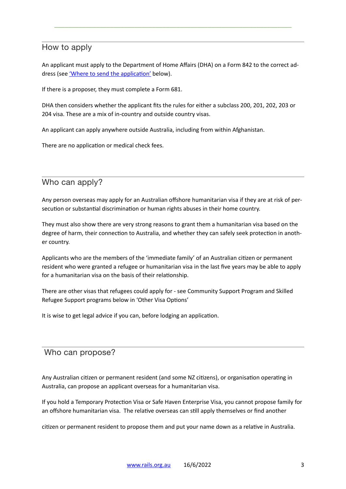# <span id="page-2-0"></span>How to apply

An applicant must apply to the Department of Home Affairs (DHA) on a Form 842 to the correct address (see ['Where to send the application'](#page-15-0) below).

\_\_\_\_\_\_\_\_\_\_\_\_\_\_\_\_\_\_\_\_\_\_\_\_\_\_\_\_\_\_\_\_\_\_\_\_\_\_\_\_\_\_\_\_\_\_\_\_\_\_\_\_\_\_\_\_\_\_\_\_\_\_\_\_\_\_\_\_

If there is a proposer, they must complete a Form 681.

DHA then considers whether the applicant fits the rules for either a subclass 200, 201, 202, 203 or 204 visa. These are a mix of in-country and outside country visas.

An applicant can apply anywhere outside Australia, including from within Afghanistan.

There are no application or medical check fees.

# <span id="page-2-1"></span>Who can apply?

Any person overseas may apply for an Australian offshore humanitarian visa if they are at risk of persecution or substantial discrimination or human rights abuses in their home country.

They must also show there are very strong reasons to grant them a humanitarian visa based on the degree of harm, their connection to Australia, and whether they can safely seek protection in another country.

Applicants who are the members of the 'immediate family' of an Australian citizen or permanent resident who were granted a refugee or humanitarian visa in the last five years may be able to apply for a humanitarian visa on the basis of their relationship.

There are other visas that refugees could apply for - see Community Support Program and Skilled Refugee Support programs below in 'Other Visa Options'

It is wise to get legal advice if you can, before lodging an application.

## <span id="page-2-2"></span>Who can propose?

Any Australian citizen or permanent resident (and some NZ citizens), or organisation operating in Australia, can propose an applicant overseas for a humanitarian visa.

If you hold a Temporary Protection Visa or Safe Haven Enterprise Visa, you cannot propose family for an offshore humanitarian visa. The relative overseas can still apply themselves or find another

citizen or permanent resident to propose them and put your name down as a relative in Australia.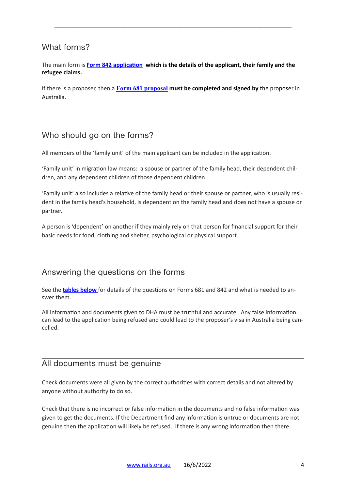## <span id="page-3-0"></span>What forms?

The main form is **[Form 842 application](https://immi.homeaffairs.gov.au/form-listing/forms/842.pdf) which is the details of the applicant, their family and the refugee claims.** 

\_\_\_\_\_\_\_\_\_\_\_\_\_\_\_\_\_\_\_\_\_\_\_\_\_\_\_\_\_\_\_\_\_\_\_\_\_\_\_\_\_\_\_\_\_\_\_\_\_\_\_\_\_\_\_\_\_\_\_\_\_\_\_\_\_\_\_\_

If there is a proposer, then a **[Form 681](https://immi.homeaffairs.gov.au/form-listing/forms/681.pdf) proposal must be completed and signed by** the proposer in Australia.

# <span id="page-3-1"></span>Who should go on the forms?

All members of the 'family unit' of the main applicant can be included in the application.

'Family unit' in migration law means: a spouse or partner of the family head, their dependent children, and any dependent children of those dependent children.

'Family unit' also includes a relative of the family head or their spouse or partner, who is usually resident in the family head's household, is dependent on the family head and does not have a spouse or partner.

A person is 'dependent' on another if they mainly rely on that person for financial support for their basic needs for food, clothing and shelter, psychological or physical support.

## <span id="page-3-2"></span>Answering the questions on the forms

See the **[tables below](#page-6-1)** for details of the questions on Forms 681 and 842 and what is needed to answer them.

All information and documents given to DHA must be truthful and accurate. Any false information can lead to the application being refused and could lead to the proposer's visa in Australia being cancelled.

## <span id="page-3-3"></span>All documents must be genuine

Check documents were all given by the correct authorities with correct details and not altered by anyone without authority to do so.

Check that there is no incorrect or false information in the documents and no false information was given to get the documents. If the Department find any information is untrue or documents are not genuine then the application will likely be refused. If there is any wrong information then there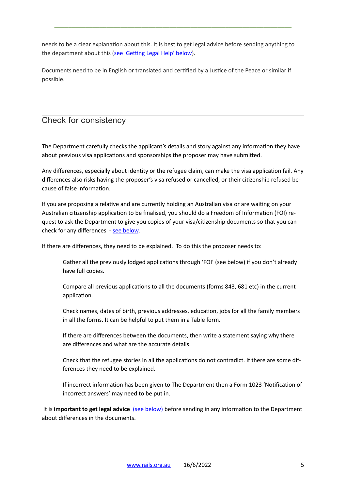needs to be a clear explanation about this. It is best to get legal advice before sending anything to the department about this (see 'Getting Legal Help' below).

\_\_\_\_\_\_\_\_\_\_\_\_\_\_\_\_\_\_\_\_\_\_\_\_\_\_\_\_\_\_\_\_\_\_\_\_\_\_\_\_\_\_\_\_\_\_\_\_\_\_\_\_\_\_\_\_\_\_\_\_\_\_\_\_\_\_\_\_

Documents need to be in English or translated and certified by a Justice of the Peace or similar if possible.

# <span id="page-4-0"></span>Check for consistency

The Department carefully checks the applicant's details and story against any information they have about previous visa applications and sponsorships the proposer may have submitted.

Any differences, especially about identity or the refugee claim, can make the visa application fail. Any differences also risks having the proposer's visa refused or cancelled, or their citizenship refused because of false information.

If you are proposing a relative and are currently holding an Australian visa or are waiting on your Australian citizenship application to be finalised, you should do a Freedom of Information (FOI) request to ask the Department to give you copies of your visa/citizenship documents so that you can check for any differences - [see below](#page-5-0).

If there are differences, they need to be explained. To do this the proposer needs to:

Gather all the previously lodged applications through 'FOI' (see below) if you don't already have full copies.

Compare all previous applications to all the documents (forms 843, 681 etc) in the current application.

Check names, dates of birth, previous addresses, education, jobs for all the family members in all the forms. It can be helpful to put them in a Table form.

If there are differences between the documents, then write a statement saying why there are differences and what are the accurate details.

Check that the refugee stories in all the applications do not contradict. If there are some differences they need to be explained.

If incorrect information has been given to The Department then a Form 1023 'Notification of incorrect answers' may need to be put in.

It is *important to get legal advice* [\(see below\) b](#page-17-2)efore sending in any information to the Department about differences in the documents.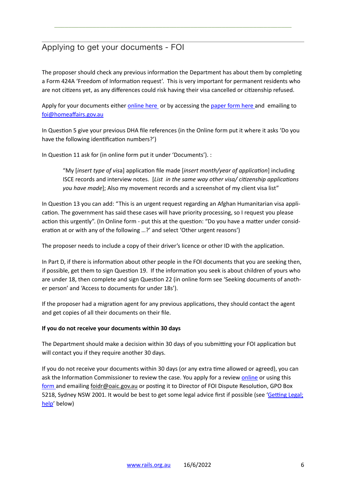# <span id="page-5-0"></span>Applying to get your documents - FOI

The proposer should check any previous information the Department has about them by completing a Form 424A 'Freedom of Information request'. This is very important for permanent residents who are not citizens yet, as any differences could risk having their visa cancelled or citizenship refused.

\_\_\_\_\_\_\_\_\_\_\_\_\_\_\_\_\_\_\_\_\_\_\_\_\_\_\_\_\_\_\_\_\_\_\_\_\_\_\_\_\_\_\_\_\_\_\_\_\_\_\_\_\_\_\_\_\_\_\_\_\_\_\_\_\_\_\_\_

Apply for your documents either [online here](https://www.homeaffairs.gov.au/access-and-accountability/freedom-of-information/access-to-information/how-to-make-a-request) or by accessing the [paper form here](https://immi.homeaffairs.gov.au/form-listing/forms/424a.pdf) and emailing to [foi@homeaffairs.gov.au](mailto:foi@homeaffairs.gov.au)

In Question 5 give your previous DHA file references (in the Online form put it where it asks 'Do you have the following identification numbers?')

In Question 11 ask for (in online form put it under 'Documents'). :

"My [*insert type of vis*a] application file made [*insert month/year of application*] including ISCE records and interview notes. [*List in the same way other visa/ citizenship applications you have made*]; Also my movement records and a screenshot of my client visa list"

In Question 13 you can add: "This is an urgent request regarding an Afghan Humanitarian visa application. The government has said these cases will have priority processing, so I request you please action this urgently". (In Online form - put this at the question: "Do you have a matter under consideration at or with any of the following …?' and select 'Other urgent reasons')

The proposer needs to include a copy of their driver's licence or other ID with the application.

In Part D, if there is information about other people in the FOI documents that you are seeking then, if possible, get them to sign Question 19. If the information you seek is about children of yours who are under 18, then complete and sign Question 22 (in online form see 'Seeking documents of another person' and 'Access to documents for under 18s').

If the proposer had a migration agent for any previous applications, they should contact the agent and get copies of all their documents on their file.

#### **If you do not receive your documents within 30 days**

The Department should make a decision within 30 days of you submitting your FOI application but will contact you if they require another 30 days.

If you do not receive your documents within 30 days (or any extra time allowed or agreed), you can ask the Information Commissioner to review the case. You apply for a review [online](https://forms.business.gov.au/smartforms/servlet/SmartForm.html?formCode=ICR_10) or using this [form](https://forms.business.gov.au/smartforms/servlet/SmartForm.html?formCode=ICR_10) and emailing [foidr@oaic.gov.au](mailto:foidr@oaic.gov.au) or posting it to Director of FOI Dispute Resolution, GPO Box 5218, Sydney NSW 2001. It would be best to get some legal advice first if possible (see 'Getting Legal; help' below)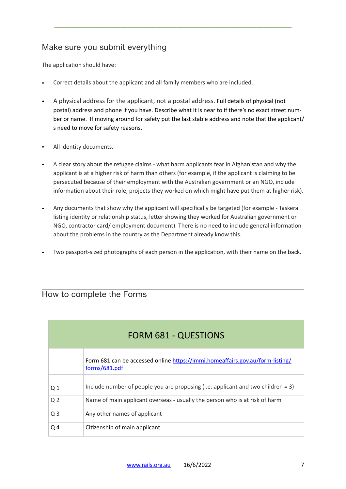# <span id="page-6-0"></span>Make sure you submit everything

The application should have:

- Correct details about the applicant and all family members who are included.
- A physical address for the applicant, not a postal address. Full details of physical (not postal) address and phone if you have. Describe what it is near to if there's no exact street number or name. If moving around for safety put the last stable address and note that the applicant/ s need to move for safety reasons.

\_\_\_\_\_\_\_\_\_\_\_\_\_\_\_\_\_\_\_\_\_\_\_\_\_\_\_\_\_\_\_\_\_\_\_\_\_\_\_\_\_\_\_\_\_\_\_\_\_\_\_\_\_\_\_\_\_\_\_\_\_\_\_\_\_\_\_\_

- All identity documents.
- A clear story about the refugee claims what harm applicants fear in Afghanistan and why the applicant is at a higher risk of harm than others (for example, if the applicant is claiming to be persecuted because of their employment with the Australian government or an NGO, include information about their role, projects they worked on which might have put them at higher risk).
- Any documents that show why the applicant will specifically be targeted (for example Taskera listing identity or relationship status, letter showing they worked for Australian government or NGO, contractor card/ employment document). There is no need to include general information about the problems in the country as the Department already know this.
- Two passport-sized photographs of each person in the application, with their name on the back.

## <span id="page-6-1"></span>How to complete the Forms

| <b>FORM 681 - QUESTIONS</b> |                                                                                                |
|-----------------------------|------------------------------------------------------------------------------------------------|
|                             | Form 681 can be accessed online https://immi.homeaffairs.gov.au/form-listing/<br>forms/681.pdf |
| Q <sub>1</sub>              | Include number of people you are proposing (i.e. applicant and two children $= 3$ )            |
| Q <sub>2</sub>              | Name of main applicant overseas - usually the person who is at risk of harm                    |
| Q <sub>3</sub>              | Any other names of applicant                                                                   |
| Q <sub>4</sub>              | Citizenship of main applicant                                                                  |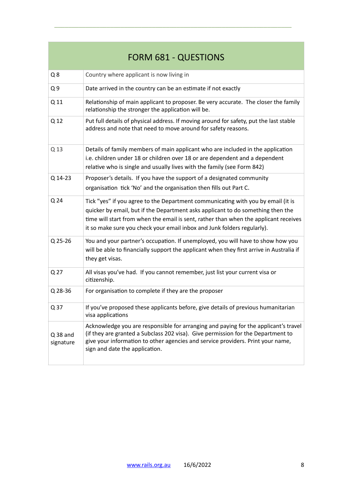| <b>FORM 681 - QUESTIONS</b> |                                                                                                                                                                                                                                                                                                                                        |
|-----------------------------|----------------------------------------------------------------------------------------------------------------------------------------------------------------------------------------------------------------------------------------------------------------------------------------------------------------------------------------|
| Q8                          | Country where applicant is now living in                                                                                                                                                                                                                                                                                               |
| Q <sub>9</sub>              | Date arrived in the country can be an estimate if not exactly                                                                                                                                                                                                                                                                          |
| Q 11                        | Relationship of main applicant to proposer. Be very accurate. The closer the family<br>relationship the stronger the application will be.                                                                                                                                                                                              |
| Q 12                        | Put full details of physical address. If moving around for safety, put the last stable<br>address and note that need to move around for safety reasons.                                                                                                                                                                                |
| Q 13                        | Details of family members of main applicant who are included in the application<br>i.e. children under 18 or children over 18 or are dependent and a dependent<br>relative who is single and usually lives with the family (see Form 842)                                                                                              |
| Q 14-23                     | Proposer's details. If you have the support of a designated community<br>organisation tick 'No' and the organisation then fills out Part C.                                                                                                                                                                                            |
| Q 24                        | Tick "yes" if you agree to the Department communicating with you by email (it is<br>quicker by email, but if the Department asks applicant to do something then the<br>time will start from when the email is sent, rather than when the applicant receives<br>it so make sure you check your email inbox and Junk folders regularly). |
| Q 25-26                     | You and your partner's occupation. If unemployed, you will have to show how you<br>will be able to financially support the applicant when they first arrive in Australia if<br>they get visas.                                                                                                                                         |
| Q 27                        | All visas you've had. If you cannot remember, just list your current visa or<br>citizenship.                                                                                                                                                                                                                                           |
| Q 28-36                     | For organisation to complete if they are the proposer                                                                                                                                                                                                                                                                                  |
| Q 37                        | If you've proposed these applicants before, give details of previous humanitarian<br>visa applications                                                                                                                                                                                                                                 |
| $Q$ 38 and<br>signature     | Acknowledge you are responsible for arranging and paying for the applicant's travel<br>(if they are granted a Subclass 202 visa). Give permission for the Department to<br>give your information to other agencies and service providers. Print your name,<br>sign and date the application.                                           |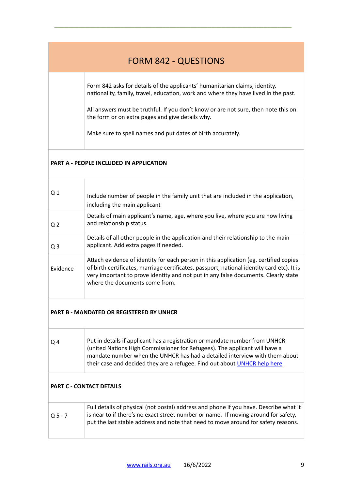# FORM 842 - QUESTIONS

\_\_\_\_\_\_\_\_\_\_\_\_\_\_\_\_\_\_\_\_\_\_\_\_\_\_\_\_\_\_\_\_\_\_\_\_\_\_\_\_\_\_\_\_\_\_\_\_\_\_\_\_\_\_\_\_\_\_\_\_\_\_\_\_\_\_\_\_

Form 842 asks for details of the applicants' humanitarian claims, identity, nationality, family, travel, education, work and where they have lived in the past.

All answers must be truthful. If you don't know or are not sure, then note this on the form or on extra pages and give details why.

Make sure to spell names and put dates of birth accurately.

### **PART A - PEOPLE INCLUDED IN APPLICATION**

| Q <sub>1</sub> | Include number of people in the family unit that are included in the application,<br>including the main applicant                                                                                                                                                                                           |
|----------------|-------------------------------------------------------------------------------------------------------------------------------------------------------------------------------------------------------------------------------------------------------------------------------------------------------------|
| Q <sub>2</sub> | Details of main applicant's name, age, where you live, where you are now living<br>and relationship status.                                                                                                                                                                                                 |
| Q <sub>3</sub> | Details of all other people in the application and their relationship to the main<br>applicant. Add extra pages if needed.                                                                                                                                                                                  |
| Evidence       | Attach evidence of identity for each person in this application (eg. certified copies<br>of birth certificates, marriage certificates, passport, national identity card etc). It is<br>very important to prove identity and not put in any false documents. Clearly state<br>where the documents come from. |

## **PART B - MANDATED OR REGISTERED BY UNHCR**

| O <sub>4</sub> | Put in details if applicant has a registration or mandate number from UNHCR |
|----------------|-----------------------------------------------------------------------------|
|                | (united Nations High Commissioner for Refugees). The applicant will have a  |
|                | mandate number when the UNHCR has had a detailed interview with them about  |
|                | their case and decided they are a refugee. Find out about UNHCR help here   |
|                |                                                                             |

### **PART C - CONTACT DETAILS**

Τ

| $05 - 7$ | Full details of physical (not postal) address and phone if you have. Describe what it<br>is near to if there's no exact street number or name. If moving around for safety,<br>put the last stable address and note that need to move around for safety reasons. |
|----------|------------------------------------------------------------------------------------------------------------------------------------------------------------------------------------------------------------------------------------------------------------------|
|          |                                                                                                                                                                                                                                                                  |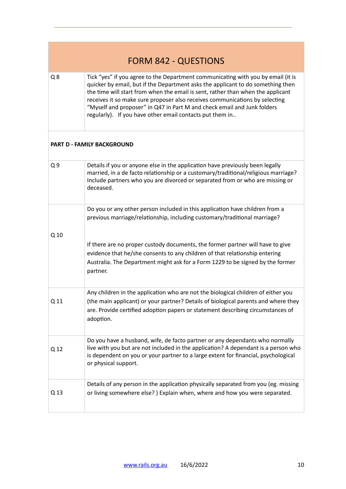| <b>FORM 842 - QUESTIONS</b> |                                                                                                                                                                                                                                                                                                                                                                                                                                                                              |
|-----------------------------|------------------------------------------------------------------------------------------------------------------------------------------------------------------------------------------------------------------------------------------------------------------------------------------------------------------------------------------------------------------------------------------------------------------------------------------------------------------------------|
| $Q$ 8                       | Tick "yes" if you agree to the Department communicating with you by email (it is<br>quicker by email, but if the Department asks the applicant to do something then<br>the time will start from when the email is sent, rather than when the applicant<br>receives it so make sure proposer also receives communications by selecting<br>"Myself and proposer" in Q47 in Part M and check email and Junk folders<br>regularly). If you have other email contacts put them in |
|                             | <b>PART D - FAMILY BACKGROUND</b>                                                                                                                                                                                                                                                                                                                                                                                                                                            |
| Q <sub>9</sub>              | Details if you or anyone else in the application have previously been legally<br>married, in a de facto relationship or a customary/traditional/religious marriage?<br>Include partners who you are divorced or separated from or who are missing or<br>deceased.                                                                                                                                                                                                            |
|                             | Do you or any other person included in this application have children from a<br>previous marriage/relationship, including customary/traditional marriage?                                                                                                                                                                                                                                                                                                                    |
| Q 10                        | If there are no proper custody documents, the former partner will have to give<br>evidence that he/she consents to any children of that relationship entering<br>Australia. The Department might ask for a Form 1229 to be signed by the former<br>partner.                                                                                                                                                                                                                  |
| Q 11                        | Any children in the application who are not the biological children of either you<br>(the main applicant) or your partner? Details of biological parents and where they<br>are. Provide certified adoption papers or statement describing circumstances of<br>adoption.                                                                                                                                                                                                      |
| Q 12                        | Do you have a husband, wife, de facto partner or any dependants who normally<br>live with you but are not included in the application? A dependant is a person who<br>is dependent on you or your partner to a large extent for financial, psychological<br>or physical support.                                                                                                                                                                                             |
| Q 13                        | Details of any person in the application physically separated from you (eg. missing<br>or living somewhere else?) Explain when, where and how you were separated.                                                                                                                                                                                                                                                                                                            |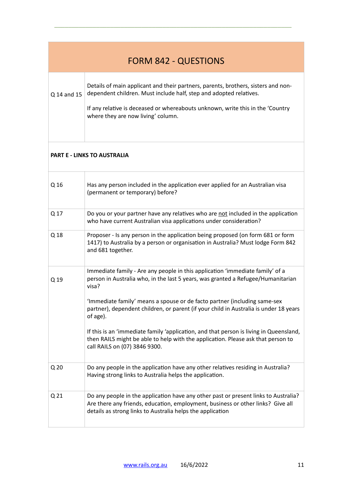| <b>FORM 842 - QUESTIONS</b> |                                                                                                                                                                                                                                                                                 |
|-----------------------------|---------------------------------------------------------------------------------------------------------------------------------------------------------------------------------------------------------------------------------------------------------------------------------|
| Q 14 and 15                 | Details of main applicant and their partners, parents, brothers, sisters and non-<br>dependent children. Must include half, step and adopted relatives.<br>If any relative is deceased or whereabouts unknown, write this in the 'Country<br>where they are now living' column. |
|                             |                                                                                                                                                                                                                                                                                 |

## **PART E - LINKS TO AUSTRALIA**

| Q 16<br>Has any person included in the application ever applied for an Australian visa<br>(permanent or temporary) before?<br>Q 17<br>Do you or your partner have any relatives who are not included in the application<br>who have current Australian visa applications under consideration?<br>Q 18<br>Proposer - Is any person in the application being proposed (on form 681 or form<br>1417) to Australia by a person or organisation in Australia? Must lodge Form 842<br>and 681 together.<br>Immediate family - Are any people in this application 'immediate family' of a<br>person in Australia who, in the last 5 years, was granted a Refugee/Humanitarian<br>Q 19<br>visa?<br>'Immediate family' means a spouse or de facto partner (including same-sex<br>partner), dependent children, or parent (if your child in Australia is under 18 years<br>of age).<br>If this is an 'immediate family 'application, and that person is living in Queensland,<br>then RAILS might be able to help with the application. Please ask that person to<br>call RAILS on (07) 3846 9300.<br>Q <sub>20</sub><br>Do any people in the application have any other relatives residing in Australia?<br>Having strong links to Australia helps the application.<br>Q <sub>21</sub><br>Do any people in the application have any other past or present links to Australia?<br>Are there any friends, education, employment, business or other links? Give all<br>details as strong links to Australia helps the application |  |  |
|-----------------------------------------------------------------------------------------------------------------------------------------------------------------------------------------------------------------------------------------------------------------------------------------------------------------------------------------------------------------------------------------------------------------------------------------------------------------------------------------------------------------------------------------------------------------------------------------------------------------------------------------------------------------------------------------------------------------------------------------------------------------------------------------------------------------------------------------------------------------------------------------------------------------------------------------------------------------------------------------------------------------------------------------------------------------------------------------------------------------------------------------------------------------------------------------------------------------------------------------------------------------------------------------------------------------------------------------------------------------------------------------------------------------------------------------------------------------------------------------------------------------------|--|--|
|                                                                                                                                                                                                                                                                                                                                                                                                                                                                                                                                                                                                                                                                                                                                                                                                                                                                                                                                                                                                                                                                                                                                                                                                                                                                                                                                                                                                                                                                                                                       |  |  |
|                                                                                                                                                                                                                                                                                                                                                                                                                                                                                                                                                                                                                                                                                                                                                                                                                                                                                                                                                                                                                                                                                                                                                                                                                                                                                                                                                                                                                                                                                                                       |  |  |
|                                                                                                                                                                                                                                                                                                                                                                                                                                                                                                                                                                                                                                                                                                                                                                                                                                                                                                                                                                                                                                                                                                                                                                                                                                                                                                                                                                                                                                                                                                                       |  |  |
|                                                                                                                                                                                                                                                                                                                                                                                                                                                                                                                                                                                                                                                                                                                                                                                                                                                                                                                                                                                                                                                                                                                                                                                                                                                                                                                                                                                                                                                                                                                       |  |  |
|                                                                                                                                                                                                                                                                                                                                                                                                                                                                                                                                                                                                                                                                                                                                                                                                                                                                                                                                                                                                                                                                                                                                                                                                                                                                                                                                                                                                                                                                                                                       |  |  |
|                                                                                                                                                                                                                                                                                                                                                                                                                                                                                                                                                                                                                                                                                                                                                                                                                                                                                                                                                                                                                                                                                                                                                                                                                                                                                                                                                                                                                                                                                                                       |  |  |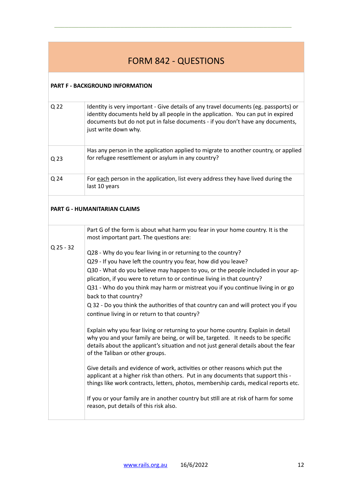# FORM 842 - QUESTIONS

\_\_\_\_\_\_\_\_\_\_\_\_\_\_\_\_\_\_\_\_\_\_\_\_\_\_\_\_\_\_\_\_\_\_\_\_\_\_\_\_\_\_\_\_\_\_\_\_\_\_\_\_\_\_\_\_\_\_\_\_\_\_\_\_\_\_\_\_

### **PART F - BACKGROUND INFORMATION**

| Q 22 | Identity is very important - Give details of any travel documents (eg. passports) or<br>identity documents held by all people in the application. You can put in expired<br>documents but do not put in false documents - if you don't have any documents,<br>just write down why. |
|------|------------------------------------------------------------------------------------------------------------------------------------------------------------------------------------------------------------------------------------------------------------------------------------|
| Q 23 | Has any person in the application applied to migrate to another country, or applied<br>for refugee resettlement or asylum in any country?                                                                                                                                          |
| Q 24 | For each person in the application, list every address they have lived during the<br>last 10 years                                                                                                                                                                                 |

## **PART G - HUMANITARIAN CLAIMS**

|             | Part G of the form is about what harm you fear in your home country. It is the<br>most important part. The questions are:                                                                                                                                                                      |
|-------------|------------------------------------------------------------------------------------------------------------------------------------------------------------------------------------------------------------------------------------------------------------------------------------------------|
| $Q$ 25 - 32 | Q28 - Why do you fear living in or returning to the country?                                                                                                                                                                                                                                   |
|             | Q29 - If you have left the country you fear, how did you leave?                                                                                                                                                                                                                                |
|             | Q30 - What do you believe may happen to you, or the people included in your ap-                                                                                                                                                                                                                |
|             | plication, if you were to return to or continue living in that country?                                                                                                                                                                                                                        |
|             | Q31 - Who do you think may harm or mistreat you if you continue living in or go<br>back to that country?                                                                                                                                                                                       |
|             | Q 32 - Do you think the authorities of that country can and will protect you if you                                                                                                                                                                                                            |
|             | continue living in or return to that country?                                                                                                                                                                                                                                                  |
|             | Explain why you fear living or returning to your home country. Explain in detail<br>why you and your family are being, or will be, targeted. It needs to be specific<br>details about the applicant's situation and not just general details about the fear<br>of the Taliban or other groups. |
|             | Give details and evidence of work, activities or other reasons which put the<br>applicant at a higher risk than others. Put in any documents that support this -<br>things like work contracts, letters, photos, membership cards, medical reports etc.                                        |
|             | If you or your family are in another country but still are at risk of harm for some<br>reason, put details of this risk also.                                                                                                                                                                  |
|             |                                                                                                                                                                                                                                                                                                |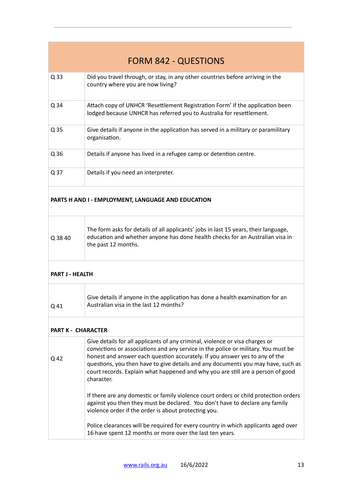| <b>FORM 842 - QUESTIONS</b> |                                                                                                                                                                                                                                                                                                                                                                                                                                        |
|-----------------------------|----------------------------------------------------------------------------------------------------------------------------------------------------------------------------------------------------------------------------------------------------------------------------------------------------------------------------------------------------------------------------------------------------------------------------------------|
| Q 33                        | Did you travel through, or stay, in any other countries before arriving in the<br>country where you are now living?                                                                                                                                                                                                                                                                                                                    |
| Q 34                        | Attach copy of UNHCR 'Resettlement Registration Form' if the application been<br>lodged because UNHCR has referred you to Australia for resettlement.                                                                                                                                                                                                                                                                                  |
| Q 35                        | Give details if anyone in the application has served in a military or paramilitary<br>organisation.                                                                                                                                                                                                                                                                                                                                    |
| Q 36                        | Details if anyone has lived in a refugee camp or detention centre.                                                                                                                                                                                                                                                                                                                                                                     |
| Q 37                        | Details if you need an interpreter.                                                                                                                                                                                                                                                                                                                                                                                                    |
|                             | PARTS H AND I - EMPLOYMENT, LANGUAGE AND EDUCATION                                                                                                                                                                                                                                                                                                                                                                                     |
| Q 38 40                     | The form asks for details of all applicants' jobs in last 15 years, their language,<br>education and whether anyone has done health checks for an Australian visa in<br>the past 12 months.                                                                                                                                                                                                                                            |
| <b>PART J - HEALTH</b>      |                                                                                                                                                                                                                                                                                                                                                                                                                                        |
| Q 41                        | Give details if anyone in the application has done a health examination for an<br>Australian visa in the last 12 months?                                                                                                                                                                                                                                                                                                               |
| <b>PART K - CHARACTER</b>   |                                                                                                                                                                                                                                                                                                                                                                                                                                        |
| Q 42                        | Give details for all applicants of any criminal, violence or visa charges or<br>convictions or associations and any service in the police or military. You must be<br>honest and answer each question accurately. If you answer yes to any of the<br>questions, you then have to give details and any documents you may have, such as<br>court records. Explain what happened and why you are still are a person of good<br>character. |
|                             | If there are any domestic or family violence court orders or child protection orders<br>against you then they must be declared. You don't have to declare any family<br>violence order if the order is about protecting you.                                                                                                                                                                                                           |
|                             | Police clearances will be required for every country in which applicants aged over<br>16 have spent 12 months or more over the last ten years.                                                                                                                                                                                                                                                                                         |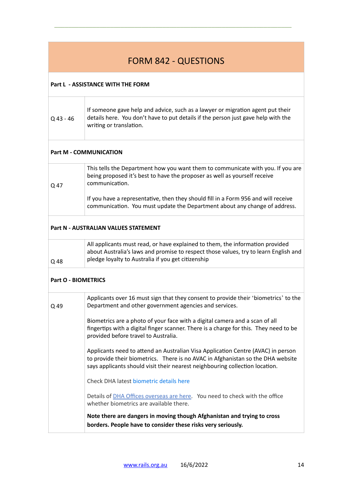|                            | <b>FORM 842 - QUESTIONS</b>                                                                                                                                                                                                                         |
|----------------------------|-----------------------------------------------------------------------------------------------------------------------------------------------------------------------------------------------------------------------------------------------------|
|                            | <b>Part L - ASSISTANCE WITH THE FORM</b>                                                                                                                                                                                                            |
| $Q$ 43 - 46                | If someone gave help and advice, such as a lawyer or migration agent put their<br>details here. You don't have to put details if the person just gave help with the<br>writing or translation.                                                      |
|                            | <b>Part M - COMMUNICATION</b>                                                                                                                                                                                                                       |
| Q 47                       | This tells the Department how you want them to communicate with you. If you are<br>being proposed it's best to have the proposer as well as yourself receive<br>communication.                                                                      |
|                            | If you have a representative, then they should fill in a Form 956 and will receive<br>communication. You must update the Department about any change of address.                                                                                    |
|                            | Part N - AUSTRALIAN VALUES STATEMENT                                                                                                                                                                                                                |
| Q 48                       | All applicants must read, or have explained to them, the information provided<br>about Australia's laws and promise to respect those values, try to learn English and<br>pledge loyalty to Australia if you get citizenship                         |
| <b>Part O - BIOMETRICS</b> |                                                                                                                                                                                                                                                     |
| Q 49                       | Applicants over 16 must sign that they consent to provide their 'biometrics' to the<br>Department and other government agencies and services.                                                                                                       |
|                            | Biometrics are a photo of your face with a digital camera and a scan of all<br>fingertips with a digital finger scanner. There is a charge for this. They need to be<br>provided before travel to Australia.                                        |
|                            | Applicants need to attend an Australian Visa Application Centre (AVAC) in person<br>to provide their biometrics. There is no AVAC in Afghanistan so the DHA website<br>says applicants should visit their nearest neighbouring collection location. |
|                            | Check DHA latest biometric details here                                                                                                                                                                                                             |
|                            | Details of DHA Offices overseas are here. You need to check with the office<br>whether biometrics are available there.                                                                                                                              |
|                            | Note there are dangers in moving though Afghanistan and trying to cross<br>borders. People have to consider these risks very seriously.                                                                                                             |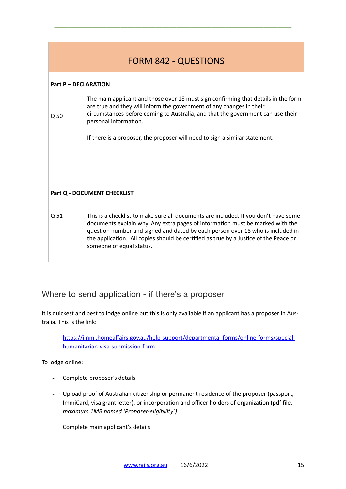# FORM 842 - QUESTIONS

\_\_\_\_\_\_\_\_\_\_\_\_\_\_\_\_\_\_\_\_\_\_\_\_\_\_\_\_\_\_\_\_\_\_\_\_\_\_\_\_\_\_\_\_\_\_\_\_\_\_\_\_\_\_\_\_\_\_\_\_\_\_\_\_\_\_\_\_

#### **Part P – DECLARATION**

| Q <sub>50</sub>             | The main applicant and those over 18 must sign confirming that details in the form<br>are true and they will inform the government of any changes in their<br>circumstances before coming to Australia, and that the government can use their<br>personal information.<br>If there is a proposer, the proposer will need to sign a similar statement.                      |  |  |
|-----------------------------|----------------------------------------------------------------------------------------------------------------------------------------------------------------------------------------------------------------------------------------------------------------------------------------------------------------------------------------------------------------------------|--|--|
|                             |                                                                                                                                                                                                                                                                                                                                                                            |  |  |
| Part Q - DOCUMENT CHECKLIST |                                                                                                                                                                                                                                                                                                                                                                            |  |  |
| Q 51                        | This is a checklist to make sure all documents are included. If you don't have some<br>documents explain why. Any extra pages of information must be marked with the<br>question number and signed and dated by each person over 18 who is included in<br>the application. All copies should be certified as true by a Justice of the Peace or<br>someone of equal status. |  |  |

## <span id="page-14-0"></span>Where to send application - if there's a proposer

It is quickest and best to lodge online but this is only available if an applicant has a proposer in Australia. This is the link:

[https://immi.homeaffairs.gov.au/help-support/departmental-forms/online-forms/special](https://immi.homeaffairs.gov.au/help-support/departmental-forms/online-forms/special-humanitarian-visa-submission-form)[humanitarian-visa-submission-form](https://immi.homeaffairs.gov.au/help-support/departmental-forms/online-forms/special-humanitarian-visa-submission-form)

To lodge online:

- Complete proposer's details
- Upload proof of Australian citizenship or permanent residence of the proposer (passport, ImmiCard, visa grant letter), or incorporation and officer holders of organization (pdf file, *maximum 1MB named 'Proposer-eligibility')*
- Complete main applicant's details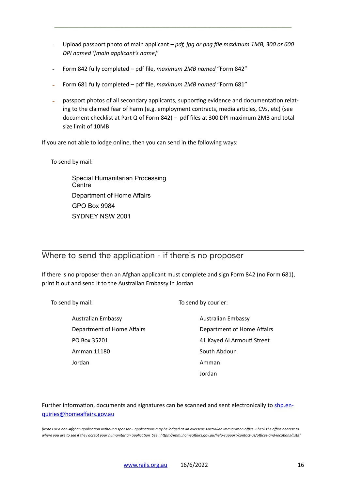- Upload passport photo of main applicant *– pdf, jpg or png file maximum 1MB, 300 or 600 DPI named '[main applicant's name]'*

\_\_\_\_\_\_\_\_\_\_\_\_\_\_\_\_\_\_\_\_\_\_\_\_\_\_\_\_\_\_\_\_\_\_\_\_\_\_\_\_\_\_\_\_\_\_\_\_\_\_\_\_\_\_\_\_\_\_\_\_\_\_\_\_\_\_\_\_

- Form 842 fully completed pdf file, *maximum 2MB named* "Form 842"
- Form 681 fully completed pdf file, *maximum 2MB named* "Form 681"
- passport photos of all secondary applicants, supporting evidence and documentation relating to the claimed fear of harm (e.g. employment contracts, media articles, CVs, etc) (see document checklist at Part Q of Form 842) – pdf files at 300 DPI maximum 2MB and total size limit of 10MB

If you are not able to lodge online, then you can send in the following ways:

To send by mail:

Special Humanitarian Processing **Centre** Department of Home Affairs GPO Box 9984 SYDNEY NSW 2001

## <span id="page-15-0"></span>Where to send the application - if there's no proposer

If there is no proposer then an Afghan applicant must complete and sign Form 842 (no Form 681), print it out and send it to the Australian Embassy in Jordan

| To send by mail:           | To send by courier:        |
|----------------------------|----------------------------|
| <b>Australian Embassy</b>  | <b>Australian Embassy</b>  |
| Department of Home Affairs | Department of Home Affairs |
| PO Box 35201               | 41 Kayed Al Armouti Street |
| Amman 11180                | South Abdoun               |
| Jordan                     | Amman                      |
|                            | Jordan                     |

Further information, documents and signatures can be scanned and sent electronically to [shp.en](mailto:shp.enquiries@homeaffairs.gov.au)[quiries@homeaffairs.gov.au](mailto:shp.enquiries@homeaffairs.gov.au) 

*[Note For a non-Afghan application without a sponsor - applications may be lodged at an overseas Australian immigration office. Check the office nearest to where you are to see if they accept your humanitarian application See : [https://immi.homeaffairs.gov.au/help-support/contact-us/offices-and-locations/list#\]](https://immi.homeaffairs.gov.au/help-support/contact-us/offices-and-locations/list)*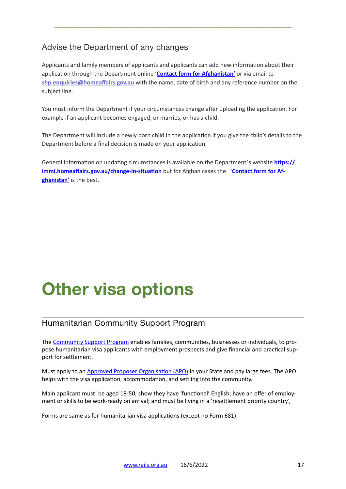# <span id="page-16-1"></span>Advise the Department of any changes

Applicants and family members of applicants and applicants can add new information about their application through the Department online '**[Contact form for Afghanistan'](https://www.homeaffairs.gov.au/help-and-support/afghanistan-update/contact-form-for-afghanistan)** or via email to **[shp.enquiries@homeaffairs.gov.au](mailto:shp.enquiries@homeaffairs.gov.au)** with the name, date of birth and any reference number on the subject line.

\_\_\_\_\_\_\_\_\_\_\_\_\_\_\_\_\_\_\_\_\_\_\_\_\_\_\_\_\_\_\_\_\_\_\_\_\_\_\_\_\_\_\_\_\_\_\_\_\_\_\_\_\_\_\_\_\_\_\_\_\_\_\_\_\_\_\_\_

You must inform the Department if your circumstances change after uploading the application. For example if an applicant becomes engaged, or marries, or has a child.

The Department will include a newly born child in the application if you give the child's details to the Department before a final decision is made on your application.

General Information on updating circumstances is available on the Department's website **[https://](https://immi.homeaffairs.gov.au/change-in-situation) [immi.homeaffairs.gov.au/change-in-situation](https://immi.homeaffairs.gov.au/change-in-situation)** but for Afghan cases the '**[Contact form for Af](https://www.homeaffairs.gov.au/help-and-support/afghanistan-update/contact-form-for-afghanistan)[ghanistan'](https://www.homeaffairs.gov.au/help-and-support/afghanistan-update/contact-form-for-afghanistan)** is the best.

# **Other visa options**

# <span id="page-16-0"></span>Humanitarian Community Support Program

The [Community Support Program](https://immi.homeaffairs.gov.au/what-we-do/refugee-and-humanitarian-program/community-support-program) enables families, communities, businesses or individuals, to propose humanitarian visa applicants with employment prospects and give financial and practical support for settlement.

Must apply to an [Approved Proposer Organisation \(APO\)](https://immi.homeaffairs.gov.au/what-we-do/refugee-and-humanitarian-program/community-support-program/approved-proposing-organisations#:~:text=Approved%2520Proposing%2520Organisations%2520%2528APOs%2529%2520are%2520organisations%2520that%2520we,families%2520find%2520accommodation%2520and%2520settle%2520into%2520the%2520community.) in your State and pay large fees. The APO helps with the visa application, accommodation, and settling into the community.

Main applicant must: be aged 18-50; show they have 'functional' English; have an offer of employment or skills to be work-ready on arrival; and must be living in a 'resettlement priority country',

Forms are same as for humanitarian visa applications (except no Form 681).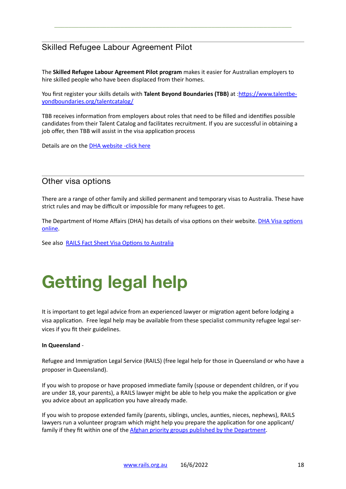# <span id="page-17-1"></span>Skilled Refugee Labour Agreement Pilot

The **Skilled Refugee Labour Agreement Pilot program** makes it easier for Australian employers to hire skilled people who have been displaced from their homes.

\_\_\_\_\_\_\_\_\_\_\_\_\_\_\_\_\_\_\_\_\_\_\_\_\_\_\_\_\_\_\_\_\_\_\_\_\_\_\_\_\_\_\_\_\_\_\_\_\_\_\_\_\_\_\_\_\_\_\_\_\_\_\_\_\_\_\_\_

You first register your skills details with **Talent Beyond Boundaries (TBB)** at [:https://www.talentbe](https://www.talentbeyondboundaries.org/talentcatalog/)[yondboundaries.org/talentcatalog/](https://www.talentbeyondboundaries.org/talentcatalog/)

TBB receives information from employers about roles that need to be filled and identifies possible candidates from their Talent Catalog and facilitates recruitment. If you are successful in obtaining a job offer, then TBB will assist in the visa application process

Details are on the [DHA website -click here](https://immi.homeaffairs.gov.au/what-we-do/skilled-migration-program/recent-changes/skilled-refugee-labour-agreement-pilot-program)

## <span id="page-17-0"></span>Other visa options

There are a range of other family and skilled permanent and temporary visas to Australia. These have strict rules and may be difficult or impossible for many refugees to get.

The Department of Home Affairs (DHA) has details of visa options on their website. [DHA Visa options](https://immi.homeaffairs.gov.au/visas/getting-a-visa/visa-finder)  [online.](https://immi.homeaffairs.gov.au/visas/getting-a-visa/visa-finder)

See also [RAILS Fact Sheet Visa Options to Australia](https://www.rails.org.au/sites/default/files/2022-03/2022.03.13-Visas%2520to%2520Australia-Overview.pdf)

# <span id="page-17-2"></span>**Getting legal help**

It is important to get legal advice from an experienced lawyer or migration agent before lodging a visa application. Free legal help may be available from these specialist community refugee legal services if you fit their guidelines.

#### **In Queensland** -

Refugee and Immigration Legal Service (RAILS) (free legal help for those in Queensland or who have a proposer in Queensland).

If you wish to propose or have proposed immediate family (spouse or dependent children, or if you are under 18, your parents), a RAILS lawyer might be able to help you make the application or give you advice about an application you have already made.

If you wish to propose extended family (parents, siblings, uncles, aunties, nieces, nephews), RAILS lawyers run a volunteer program which might help you prepare the application for one applicant/ family if they fit within one of the [Afghan priority groups published by the Department](https://www.homeaffairs.gov.au/help-and-support/afghanistan-update).